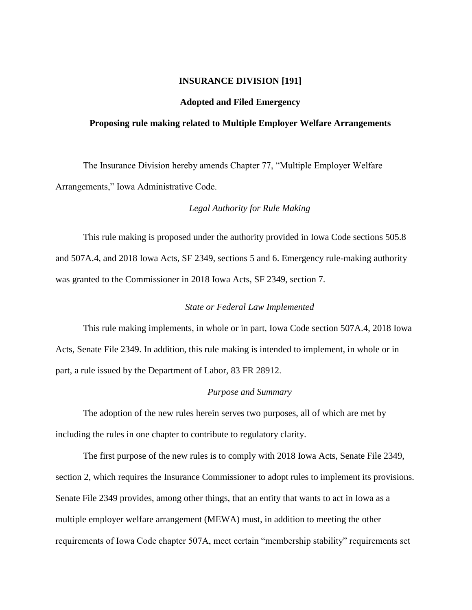## **INSURANCE DIVISION [191]**

#### **Adopted and Filed Emergency**

#### **Proposing rule making related to Multiple Employer Welfare Arrangements**

The Insurance Division hereby amends Chapter 77, "Multiple Employer Welfare Arrangements," Iowa Administrative Code.

# *Legal Authority for Rule Making*

This rule making is proposed under the authority provided in Iowa Code sections 505.8 and 507A.4, and 2018 Iowa Acts, SF 2349, sections 5 and 6. Emergency rule-making authority was granted to the Commissioner in 2018 Iowa Acts, SF 2349, section 7.

## *State or Federal Law Implemented*

This rule making implements, in whole or in part, Iowa Code section 507A.4, 2018 Iowa Acts, Senate File 2349. In addition, this rule making is intended to implement, in whole or in part, a rule issued by the Department of Labor, 83 FR 28912.

#### *Purpose and Summary*

The adoption of the new rules herein serves two purposes, all of which are met by including the rules in one chapter to contribute to regulatory clarity.

The first purpose of the new rules is to comply with 2018 Iowa Acts, Senate File 2349, section 2, which requires the Insurance Commissioner to adopt rules to implement its provisions. Senate File 2349 provides, among other things, that an entity that wants to act in Iowa as a multiple employer welfare arrangement (MEWA) must, in addition to meeting the other requirements of Iowa Code chapter 507A, meet certain "membership stability" requirements set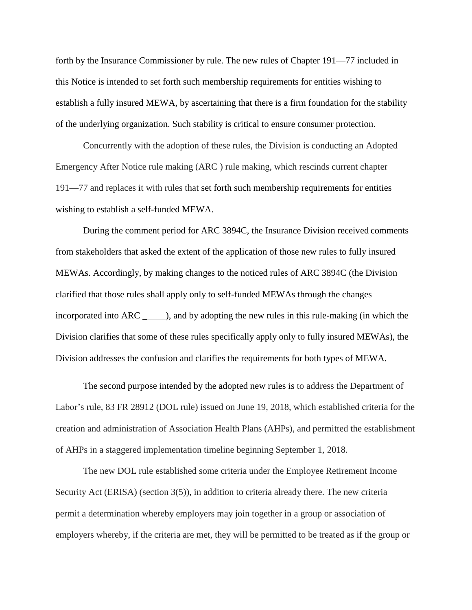forth by the Insurance Commissioner by rule. The new rules of Chapter 191—77 included in this Notice is intended to set forth such membership requirements for entities wishing to establish a fully insured MEWA, by ascertaining that there is a firm foundation for the stability of the underlying organization. Such stability is critical to ensure consumer protection.

Concurrently with the adoption of these rules, the Division is conducting an Adopted Emergency After Notice rule making (ARC ) rule making, which rescinds current chapter 191—77 and replaces it with rules that set forth such membership requirements for entities wishing to establish a self-funded MEWA.

During the comment period for ARC 3894C, the Insurance Division received comments from stakeholders that asked the extent of the application of those new rules to fully insured MEWAs. Accordingly, by making changes to the noticed rules of ARC 3894C (the Division clarified that those rules shall apply only to self-funded MEWAs through the changes incorporated into ARC  $\qquad$ , and by adopting the new rules in this rule-making (in which the Division clarifies that some of these rules specifically apply only to fully insured MEWAs), the Division addresses the confusion and clarifies the requirements for both types of MEWA.

The second purpose intended by the adopted new rules is to address the Department of Labor's rule, 83 FR 28912 (DOL rule) issued on June 19, 2018, which established criteria for the creation and administration of Association Health Plans (AHPs), and permitted the establishment of AHPs in a staggered implementation timeline beginning September 1, 2018.

The new DOL rule established some criteria under the Employee Retirement Income Security Act (ERISA) (section 3(5)), in addition to criteria already there. The new criteria permit a determination whereby employers may join together in a group or association of employers whereby, if the criteria are met, they will be permitted to be treated as if the group or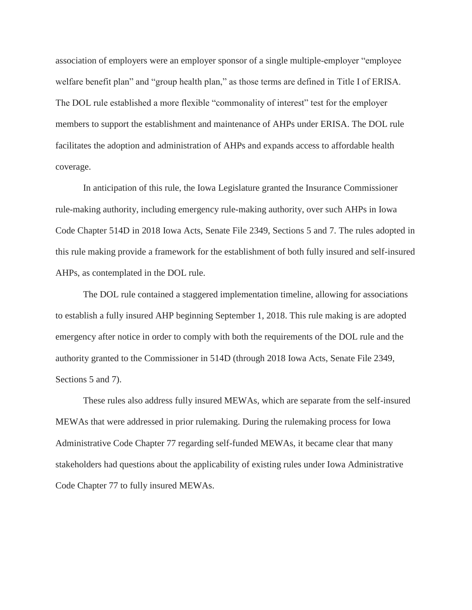association of employers were an employer sponsor of a single multiple-employer "employee welfare benefit plan" and "group health plan," as those terms are defined in Title I of ERISA. The DOL rule established a more flexible "commonality of interest" test for the employer members to support the establishment and maintenance of AHPs under ERISA. The DOL rule facilitates the adoption and administration of AHPs and expands access to affordable health coverage.

In anticipation of this rule, the Iowa Legislature granted the Insurance Commissioner rule-making authority, including emergency rule-making authority, over such AHPs in Iowa Code Chapter 514D in 2018 Iowa Acts, Senate File 2349, Sections 5 and 7. The rules adopted in this rule making provide a framework for the establishment of both fully insured and self-insured AHPs, as contemplated in the DOL rule.

The DOL rule contained a staggered implementation timeline, allowing for associations to establish a fully insured AHP beginning September 1, 2018. This rule making is are adopted emergency after notice in order to comply with both the requirements of the DOL rule and the authority granted to the Commissioner in 514D (through 2018 Iowa Acts, Senate File 2349, Sections 5 and 7).

These rules also address fully insured MEWAs, which are separate from the self-insured MEWAs that were addressed in prior rulemaking. During the rulemaking process for Iowa Administrative Code Chapter 77 regarding self-funded MEWAs, it became clear that many stakeholders had questions about the applicability of existing rules under Iowa Administrative Code Chapter 77 to fully insured MEWAs.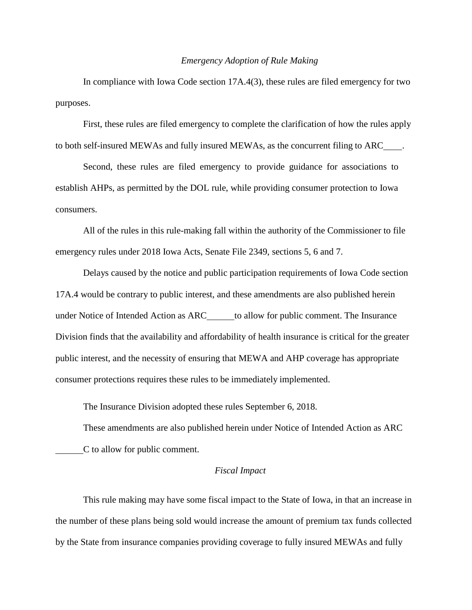# *Emergency Adoption of Rule Making*

In compliance with Iowa Code section 17A.4(3), these rules are filed emergency for two purposes.

First, these rules are filed emergency to complete the clarification of how the rules apply to both self-insured MEWAs and fully insured MEWAs, as the concurrent filing to ARC .

Second, these rules are filed emergency to provide guidance for associations to establish AHPs, as permitted by the DOL rule, while providing consumer protection to Iowa consumers.

All of the rules in this rule-making fall within the authority of the Commissioner to file emergency rules under 2018 Iowa Acts, Senate File 2349, sections 5, 6 and 7.

Delays caused by the notice and public participation requirements of Iowa Code section 17A.4 would be contrary to public interest, and these amendments are also published herein under Notice of Intended Action as ARC to allow for public comment. The Insurance Division finds that the availability and affordability of health insurance is critical for the greater public interest, and the necessity of ensuring that MEWA and AHP coverage has appropriate consumer protections requires these rules to be immediately implemented.

The Insurance Division adopted these rules September 6, 2018.

These amendments are also published herein under Notice of Intended Action as ARC C to allow for public comment.

# *Fiscal Impact*

This rule making may have some fiscal impact to the State of Iowa, in that an increase in the number of these plans being sold would increase the amount of premium tax funds collected by the State from insurance companies providing coverage to fully insured MEWAs and fully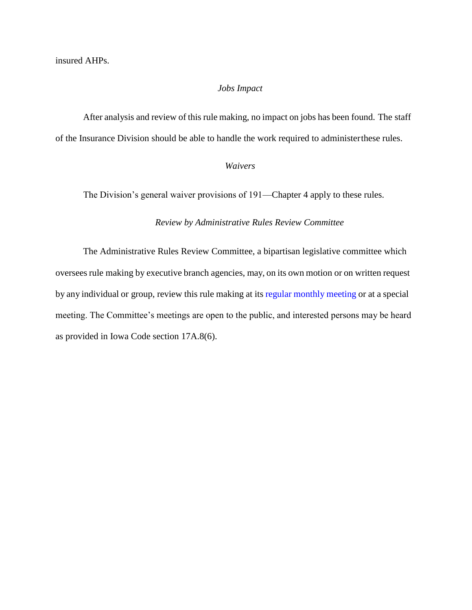insured AHPs.

## *Jobs Impact*

After analysis and review of this rule making, no impact on jobs has been found. The staff of the Insurance Division should be able to handle the work required to administerthese rules.

# *Waivers*

The Division's general waiver provisions of 191—Chapter 4 apply to these rules.

# *Review by Administrative Rules Review Committee*

The Administrative Rules Review Committee, a bipartisan legislative committee which oversees rule making by executive branch agencies, may, on its own motion or on written request by any individual or group, review this rule making at its regular [monthly](https://www.legis.iowa.gov/committees/meetings/meetingsListComm?groupID=705&amp%3Bga=87) meeting or at a special meeting. The Committee's meetings are open to the public, and interested persons may be heard as provided in Iowa Code section 17A.8(6).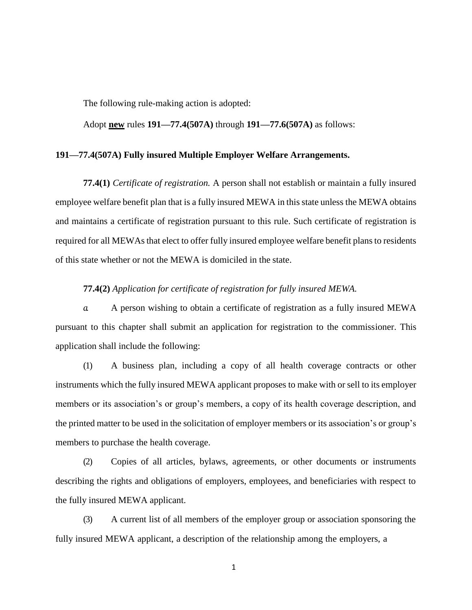The following rule-making action is adopted:

Adopt **new** rules **191—77.4(507A)** through **191—77.6(507A)** as follows:

## **191—77.4(507A) Fully insured Multiple Employer Welfare Arrangements.**

**77.4(1)** *Certificate of registration.* A person shall not establish or maintain a fully insured employee welfare benefit plan that is a fully insured MEWA in this state unless the MEWA obtains and maintains a certificate of registration pursuant to this rule. Such certificate of registration is required for all MEWAs that elect to offer fully insured employee welfare benefit plans to residents of this state whether or not the MEWA is domiciled in the state.

## **77.4(2)** *Application for certificate of registration for fully insured MEWA.*

*a.* A person wishing to obtain a certificate of registration as a fully insured MEWA pursuant to this chapter shall submit an application for registration to the commissioner. This application shall include the following:

(1) A business plan, including a copy of all health coverage contracts or other instruments which the fully insured MEWA applicant proposes to make with or sell to its employer members or its association's or group's members, a copy of its health coverage description, and the printed matter to be used in the solicitation of employer members or its association's or group's members to purchase the health coverage.

(2) Copies of all articles, bylaws, agreements, or other documents or instruments describing the rights and obligations of employers, employees, and beneficiaries with respect to the fully insured MEWA applicant.

(3) A current list of all members of the employer group or association sponsoring the fully insured MEWA applicant, a description of the relationship among the employers, a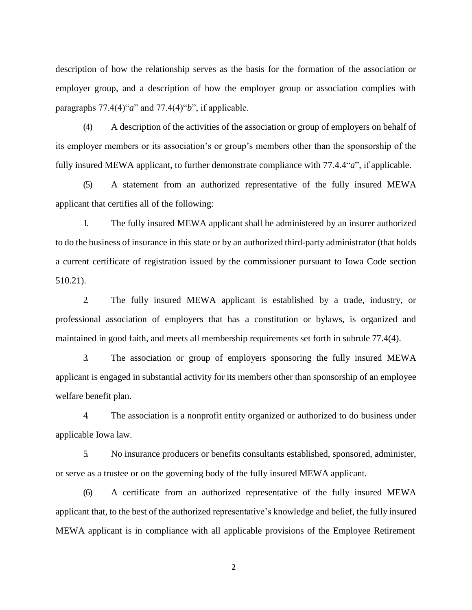description of how the relationship serves as the basis for the formation of the association or employer group, and a description of how the employer group or association complies with paragraphs 77.4(4)"*a*" and 77.4(4)"*b*", if applicable.

(4) A description of the activities of the association or group of employers on behalf of its employer members or its association's or group's members other than the sponsorship of the fully insured MEWA applicant, to further demonstrate compliance with [77.4.4"](https://www.legis.iowa.gov/docs/iac/rule/191.77.7.pdf)*a*", if applicable.

(5) A statement from an authorized representative of the fully insured MEWA applicant that certifies all of the following:

1. The fully insured MEWA applicant shall be administered by an insurer authorized to do the business of insurance in this state or by an authorized third-party administrator (that holds a current certificate of registration issued by the commissioner pursuant to Iowa Code section [510.21\)](https://www.legis.iowa.gov/docs/ico/section/2018/510.21.pdf).

2. The fully insured MEWA applicant is established by a trade, industry, or professional association of employers that has a constitution or bylaws, is organized and maintained in good faith, and meets all membership requirements set forth in subrule 77.4(4).

3. The association or group of employers sponsoring the fully insured MEWA applicant is engaged in substantial activity for its members other than sponsorship of an employee welfare benefit plan.

4. The association is a nonprofit entity organized or authorized to do business under applicable Iowa law.

5. No insurance producers or benefits consultants established, sponsored, administer, or serve as a trustee or on the governing body of the fully insured MEWA applicant.

(6) A certificate from an authorized representative of the fully insured MEWA applicant that, to the best of the authorized representative's knowledge and belief, the fully insured MEWA applicant is in compliance with all applicable provisions of the Employee Retirement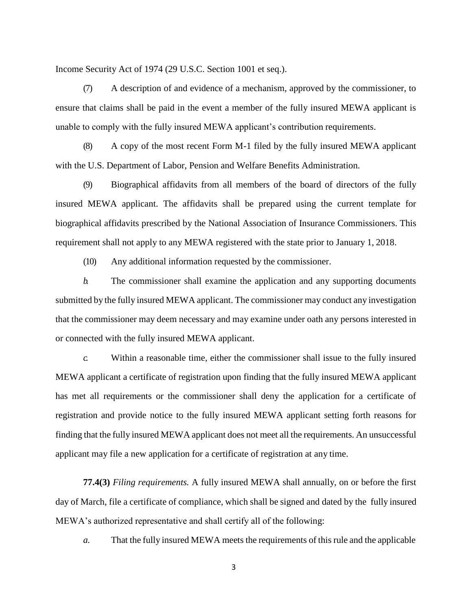Income Security Act of 1974 (29 U.S.C. Section 1001 et seq.).

(7) A description of and evidence of a mechanism, approved by the commissioner, to ensure that claims shall be paid in the event a member of the fully insured MEWA applicant is unable to comply with the fully insured MEWA applicant's contribution requirements.

(8) A copy of the most recent Form M-1 filed by the fully insured MEWA applicant with the U.S. Department of Labor, Pension and Welfare Benefits Administration.

(9) Biographical affidavits from all members of the board of directors of the fully insured MEWA applicant. The affidavits shall be prepared using the current template for biographical affidavits prescribed by the National Association of Insurance Commissioners. This requirement shall not apply to any MEWA registered with the state prior to January 1, 2018.

(10) Any additional information requested by the commissioner.

*b.* The commissioner shall examine the application and any supporting documents submitted by the fully insured MEWA applicant. The commissioner may conduct any investigation that the commissioner may deem necessary and may examine under oath any persons interested in or connected with the fully insured MEWA applicant.

*c.* Within a reasonable time, either the commissioner shall issue to the fully insured MEWA applicant a certificate of registration upon finding that the fully insured MEWA applicant has met all requirements or the commissioner shall deny the application for a certificate of registration and provide notice to the fully insured MEWA applicant setting forth reasons for finding that the fully insured MEWA applicant does not meet all the requirements. An unsuccessful applicant may file a new application for a certificate of registration at any time.

**77.4(3)** *Filing requirements.* A fully insured MEWA shall annually, on or before the first day of March, file a certificate of compliance, which shall be signed and dated by the fully insured MEWA's authorized representative and shall certify all of the following:

*a.* That the fully insured MEWA meets the requirements of this rule and the applicable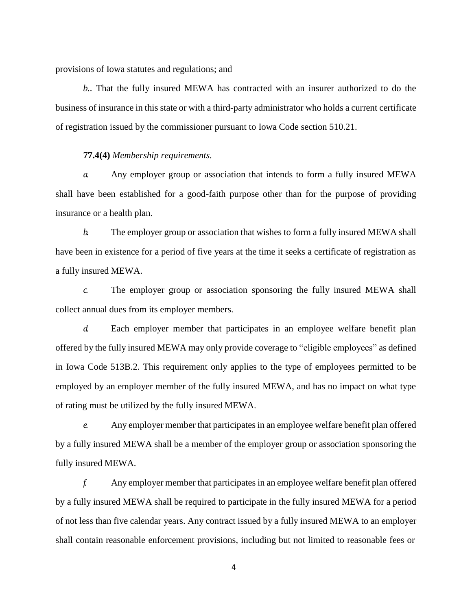provisions of Iowa statutes and regulations; and

*b..* That the fully insured MEWA has contracted with an insurer authorized to do the business of insurance in this state or with a third-party administrator who holds a current certificate of registration issued by the commissioner pursuant to Iowa Code section [510.21.](https://www.legis.iowa.gov/docs/ico/section/2018/510.21.pdf)

**77.4(4)** *Membership requirements.*

*a.* Any employer group or association that intends to form a fully insured MEWA shall have been established for a good-faith purpose other than for the purpose of providing insurance or a health plan.

*b.* The employer group or association that wishes to form a fully insured MEWA shall have been in existence for a period of five years at the time it seeks a certificate of registration as a fully insured MEWA.

*c.* The employer group or association sponsoring the fully insured MEWA shall collect annual dues from its employer members.

*d.* Each employer member that participates in an employee welfare benefit plan offered by the fully insured MEWA may only provide coverage to "eligible employees" as defined in Iowa Code 513B.2. This requirement only applies to the type of employees permitted to be employed by an employer member of the fully insured MEWA, and has no impact on what type of rating must be utilized by the fully insured MEWA.

*e.* Any employer member that participatesin an employee welfare benefit plan offered by a fully insured MEWA shall be a member of the employer group or association sponsoring the fully insured MEWA.

*f.* Any employer member that participates in an employee welfare benefit plan offered by a fully insured MEWA shall be required to participate in the fully insured MEWA for a period of not less than five calendar years. Any contract issued by a fully insured MEWA to an employer shall contain reasonable enforcement provisions, including but not limited to reasonable fees or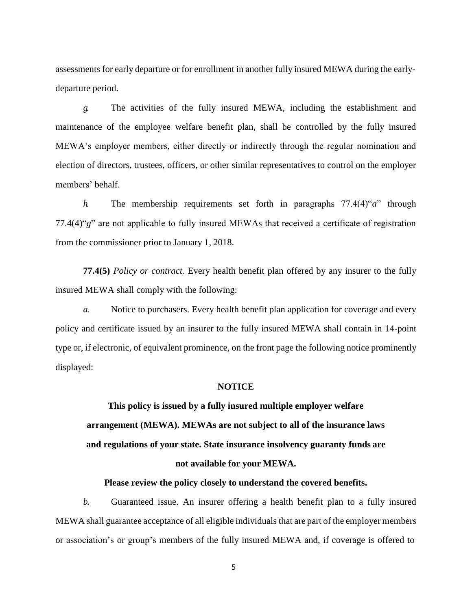assessments for early departure or for enrollment in another fully insured MEWA during the earlydeparture period.

*g.* The activities of the fully insured MEWA, including the establishment and maintenance of the employee welfare benefit plan, shall be controlled by the fully insured MEWA's employer members, either directly or indirectly through the regular nomination and election of directors, trustees, officers, or other similar representatives to control on the employer members' behalf.

*h.* The membership requirements set forth in [paragraphs 77.4\(4\)"](https://www.legis.iowa.gov/docs/iac/rule/191.77.7.pdf)*a*" throug[h](https://www.legis.iowa.gov/docs/iac/rule/191.77.7.pdf) [77.4\(4\)"](https://www.legis.iowa.gov/docs/iac/rule/191.77.7.pdf)*g*" are not applicable to fully insured MEWAs that received a certificate of registration from the commissioner prior to January 1, 2018.

**77.4(5)** *Policy or contract.* Every health benefit plan offered by any insurer to the fully insured MEWA shall comply with the following:

*a.* Notice to purchasers. Every health benefit plan application for coverage and every policy and certificate issued by an insurer to the fully insured MEWA shall contain in 14-point type or, if electronic, of equivalent prominence, on the front page the following notice prominently displayed:

### **NOTICE**

**This policy is issued by a fully insured multiple employer welfare arrangement (MEWA). MEWAs are not subject to all of the insurance laws and regulations of your state. State insurance insolvency guaranty funds are not available for your MEWA.**

# **Please review the policy closely to understand the covered benefits.**

*b.* Guaranteed issue. An insurer offering a health benefit plan to a fully insured MEWA shall guarantee acceptance of all eligible individuals that are part of the employer members or association's or group's members of the fully insured MEWA and, if coverage is offered to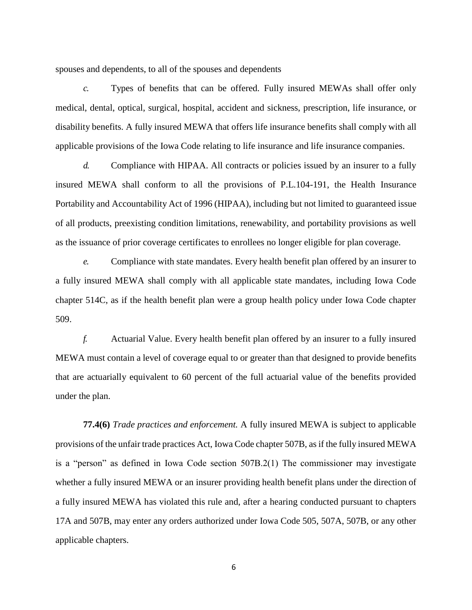spouses and dependents, to all of the spouses and dependents

*c.* Types of benefits that can be offered*.* Fully insured MEWAs shall offer only medical, dental, optical, surgical, hospital, accident and sickness, prescription, life insurance, or disability benefits. A fully insured MEWA that offers life insurance benefits shall comply with all applicable provisions of the Iowa Code relating to life insurance and life insurance companies.

*d.* Compliance with HIPAA. All contracts or policies issued by an insurer to a fully insured MEWA shall conform to all the provisions of P.L.104-191, the Health Insurance Portability and Accountability Act of 1996 (HIPAA), including but not limited to guaranteed issue of all products, preexisting condition limitations, renewability, and portability provisions as well as the issuance of prior coverage certificates to enrollees no longer eligible for plan coverage.

*e.* Compliance with state mandates. Every health benefit plan offered by an insurer to a fully insured MEWA shall comply with all applicable state mandates, including Iowa Code chapter 514C, as if the health benefit plan were a group health policy under Iowa Code chapter 509.

*f.* Actuarial Value. Every health benefit plan offered by an insurer to a fully insured MEWA must contain a level of coverage equal to or greater than that designed to provide benefits that are actuarially equivalent to 60 percent of the full actuarial value of the benefits provided under the plan.

**77.4(6)** *Trade practices and enforcement.* A fully insured MEWA is subject to applicable provisions of the unfair trade practices Act, Iowa Code chapter [507B,](https://www.legis.iowa.gov/docs/ico/chapter/2018/507B.pdf) as if the fully insured MEWA is a "person" as defined in Iowa Code section 507B.2(1) The commissioner may investigate whether a fully insured MEWA or an insurer providing health benefit plans under the direction of a fully insured MEWA has violated this rule and, after a hearing conducted pursuant to chapters 17A and 507B, may enter any orders authorized under Iowa Code 505, 507A, 507B, or any other applicable chapters.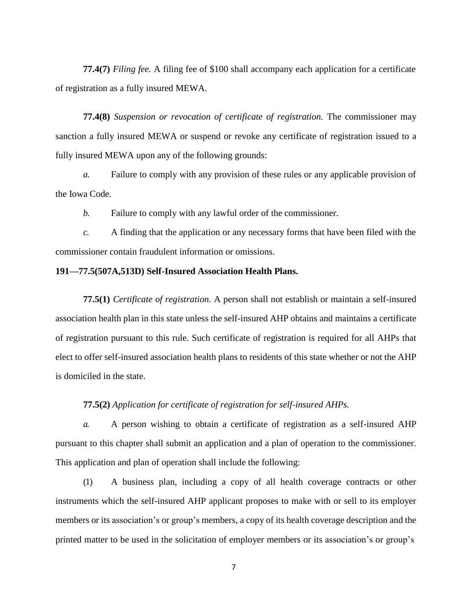**77.4(7)** *Filing fee.* A filing fee of \$100 shall accompany each application for a certificate of registration as a fully insured MEWA.

**77.4(8)** *Suspension or revocation of certificate of registration.* The commissioner may sanction a fully insured MEWA or suspend or revoke any certificate of registration issued to a fully insured MEWA upon any of the following grounds:

*a.* Failure to comply with any provision of these rules or any applicable provision of the Iowa Code.

*b.* Failure to comply with any lawful order of the commissioner.

*c.* A finding that the application or any necessary forms that have been filed with the commissioner contain fraudulent information or omissions.

# **191—77.5(507A,513D) Self-Insured Association Health Plans.**

**77.5(1)** *Certificate of registration.* A person shall not establish or maintain a self-insured association health plan in this state unless the self-insured AHP obtains and maintains a certificate of registration pursuant to this rule. Such certificate of registration is required for all AHPs that elect to offer self-insured association health plans to residents of this state whether or not the AHP is domiciled in the state.

# **77.5(2)** *Application for certificate of registration for self-insured AHPs.*

*a.* A person wishing to obtain a certificate of registration as a self-insured AHP pursuant to this chapter shall submit an application and a plan of operation to the commissioner. This application and plan of operation shall include the following:

(1) A business plan, including a copy of all health coverage contracts or other instruments which the self-insured AHP applicant proposes to make with or sell to its employer members or its association's or group's members, a copy of its health coverage description and the printed matter to be used in the solicitation of employer members or its association's or group's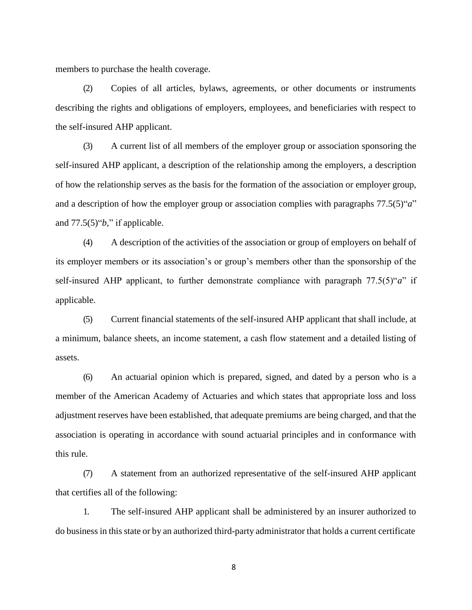members to purchase the health coverage.

(2) Copies of all articles, bylaws, agreements, or other documents or instruments describing the rights and obligations of employers, employees, and beneficiaries with respect to the self-insured AHP applicant.

(3) A current list of all members of the employer group or association sponsoring the self-insured AHP applicant, a description of the relationship among the employers, a description of how the relationship serves as the basis for the formation of the association or employer group, and a description of how the employer group or association complies with [paragraphs 77.5\(5\)"](https://www.legis.iowa.gov/docs/iac/rule/191.77.7.pdf)*a*" and [77.5\(5\)"](https://www.legis.iowa.gov/docs/iac/rule/191.77.7.pdf)*b,*" if applicable.

(4) A description of the activities of the association or group of employers on behalf of its employer members or its association's or group's members other than the sponsorship of the self-insured AHP applicant, to further demonstrate compliance with paragraph 77.5(5)"*a*" if applicable.

(5) Current financial statements of the self-insured AHP applicant that shall include, at a minimum, balance sheets, an income statement, a cash flow statement and a detailed listing of assets.

(6) An actuarial opinion which is prepared, signed, and dated by a person who is a member of the American Academy of Actuaries and which states that appropriate loss and loss adjustment reserves have been established, that adequate premiums are being charged, and that the association is operating in accordance with sound actuarial principles and in conformance with this rule.

(7) A statement from an authorized representative of the self-insured AHP applicant that certifies all of the following:

1. The self-insured AHP applicant shall be administered by an insurer authorized to do business in thisstate or by an authorized third-party administrator that holds a current certificate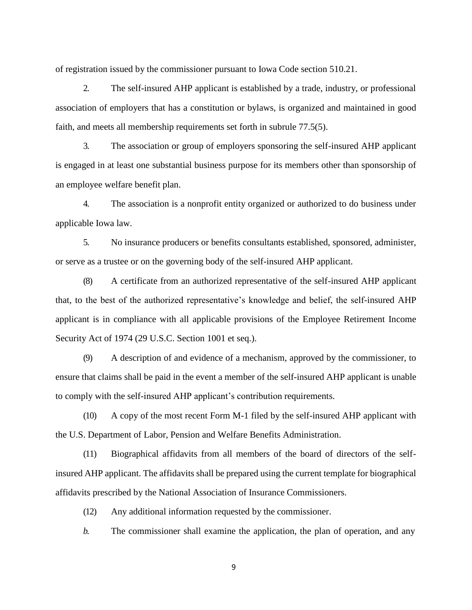of registration issued by the commissioner pursuant to Iowa Code section [510.21.](https://www.legis.iowa.gov/docs/ico/section/2018/510.21.pdf)

2. The self-insured AHP applicant is established by a trade, industry, or professional association of employers that has a constitution or bylaws, is organized and maintained in good faith, and meets all membership requirements set forth in subrule [77.5\(5\).](https://www.legis.iowa.gov/docs/iac/rule/191.77.7.pdf)

3. The association or group of employers sponsoring the self-insured AHP applicant is engaged in at least one substantial business purpose for its members other than sponsorship of an employee welfare benefit plan.

4. The association is a nonprofit entity organized or authorized to do business under applicable Iowa law.

5. No insurance producers or benefits consultants established, sponsored, administer, or serve as a trustee or on the governing body of the self-insured AHP applicant.

(8) A certificate from an authorized representative of the self-insured AHP applicant that, to the best of the authorized representative's knowledge and belief, the self-insured AHP applicant is in compliance with all applicable provisions of the Employee Retirement Income Security Act of 1974 (29 U.S.C. Section 1001 et seq.).

(9) A description of and evidence of a mechanism, approved by the commissioner, to ensure that claims shall be paid in the event a member of the self-insured AHP applicant is unable to comply with the self-insured AHP applicant's contribution requirements.

(10) A copy of the most recent Form M-1 filed by the self-insured AHP applicant with the U.S. Department of Labor, Pension and Welfare Benefits Administration.

(11) Biographical affidavits from all members of the board of directors of the selfinsured AHP applicant. The affidavits shall be prepared using the current template for biographical affidavits prescribed by the National Association of Insurance Commissioners.

(12) Any additional information requested by the commissioner.

*b.* The commissioner shall examine the application, the plan of operation, and any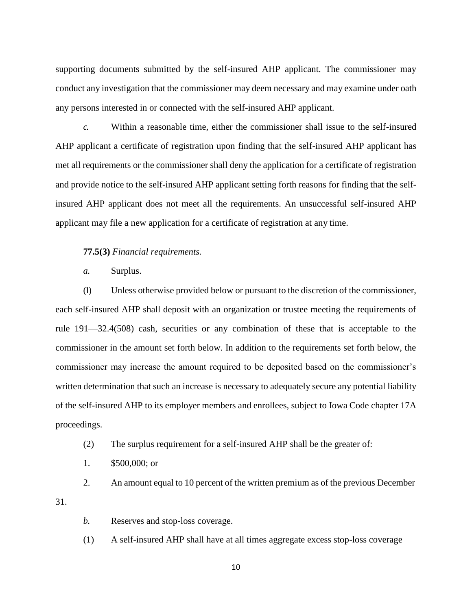supporting documents submitted by the self-insured AHP applicant. The commissioner may conduct any investigation that the commissioner may deem necessary and may examine under oath any persons interested in or connected with the self-insured AHP applicant.

*c.* Within a reasonable time, either the commissioner shall issue to the self-insured AHP applicant a certificate of registration upon finding that the self-insured AHP applicant has met all requirements or the commissioner shall deny the application for a certificate of registration and provide notice to the self-insured AHP applicant setting forth reasons for finding that the selfinsured AHP applicant does not meet all the requirements. An unsuccessful self-insured AHP applicant may file a new application for a certificate of registration at any time.

**77.5(3)** *Financial requirements.*

*a.* Surplus.

(1) Unless otherwise provided below or pursuant to the discretion of the commissioner, each self-insured AHP shall deposit with an organization or trustee meeting the requirements of rule [191—32.4\(](https://www.legis.iowa.gov/docs/iac/rule/191.32.4.pdf)508) cash, securities or any combination of these that is acceptable to the commissioner in the amount set forth below. In addition to the requirements set forth below, the commissioner may increase the amount required to be deposited based on the commissioner's written determination that such an increase is necessary to adequately secure any potential liability of the self-insured AHP to its employer members and enrollees, subject to Iowa Code chapter [17A](https://www.legis.iowa.gov/docs/ico/chapter/2018/17A.pdf) proceedings.

- (2) The surplus requirement for a self-insured AHP shall be the greater of:
- 1. \$500,000; or

31. 2. An amount equal to 10 percent of the written premium as of the previous December

*b.* Reserves and stop-loss coverage.

(1) A self-insured AHP shall have at all times aggregate excess stop-loss coverage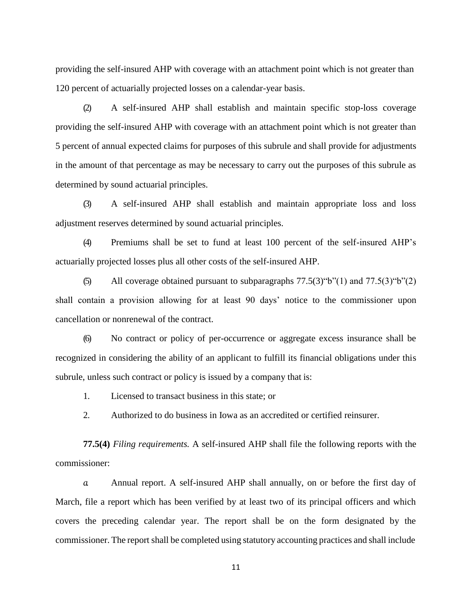providing the self-insured AHP with coverage with an attachment point which is not greater than 120 percent of actuarially projected losses on a calendar-year basis.

(2) A self-insured AHP shall establish and maintain specific stop-loss coverage providing the self-insured AHP with coverage with an attachment point which is not greater than 5 percent of annual expected claims for purposes of this subrule and shall provide for adjustments in the amount of that percentage as may be necessary to carry out the purposes of this subrule as determined by sound actuarial principles.

(3) A self-insured AHP shall establish and maintain appropriate loss and loss adjustment reserves determined by sound actuarial principles.

(4) Premiums shall be set to fund at least 100 percent of the self-insured AHP's actuarially projected losses plus all other costs of the self-insured AHP.

(5) All coverage obtained pursuant to subparagraphs  $77.5(3)$  "b" $(1)$  and  $77.5(3)$  "b" $(2)$ " shall contain a provision allowing for at least 90 days' notice to the commissioner upon cancellation or nonrenewal of the contract.

(6) No contract or policy of per-occurrence or aggregate excess insurance shall be recognized in considering the ability of an applicant to fulfill its financial obligations under this subrule, unless such contract or policy is issued by a company that is:

1. Licensed to transact business in this state; or

2. Authorized to do business in Iowa as an accredited or certified reinsurer.

**77.5(4)** *Filing requirements.* A self-insured AHP shall file the following reports with the commissioner:

*a.* Annual report. A self-insured AHP shall annually, on or before the first day of March, file a report which has been verified by at least two of its principal officers and which covers the preceding calendar year. The report shall be on the form designated by the commissioner. The report shall be completed using statutory accounting practices and shall include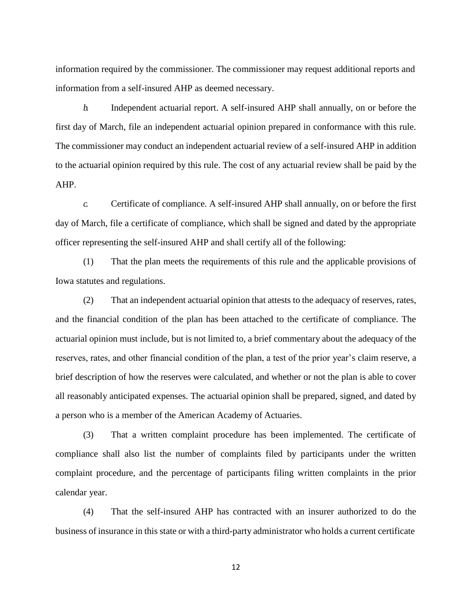information required by the commissioner. The commissioner may request additional reports and information from a self-insured AHP as deemed necessary.

*b.* Independent actuarial report. A self-insured AHP shall annually, on or before the first day of March, file an independent actuarial opinion prepared in conformance with this rule. The commissioner may conduct an independent actuarial review of a self-insured AHP in addition to the actuarial opinion required by this rule. The cost of any actuarial review shall be paid by the AHP.

*c.* Certificate of compliance*.* A self-insured AHP shall annually, on or before the first day of March, file a certificate of compliance, which shall be signed and dated by the appropriate officer representing the self-insured AHP and shall certify all of the following:

(1) That the plan meets the requirements of this rule and the applicable provisions of Iowa statutes and regulations.

(2) That an independent actuarial opinion that attests to the adequacy of reserves, rates, and the financial condition of the plan has been attached to the certificate of compliance. The actuarial opinion must include, but is not limited to, a brief commentary about the adequacy of the reserves, rates, and other financial condition of the plan, a test of the prior year's claim reserve, a brief description of how the reserves were calculated, and whether or not the plan is able to cover all reasonably anticipated expenses. The actuarial opinion shall be prepared, signed, and dated by a person who is a member of the American Academy of Actuaries.

(3) That a written complaint procedure has been implemented. The certificate of compliance shall also list the number of complaints filed by participants under the written complaint procedure, and the percentage of participants filing written complaints in the prior calendar year.

(4) That the self-insured AHP has contracted with an insurer authorized to do the business of insurance in this state or with a third-party administrator who holds a current certificate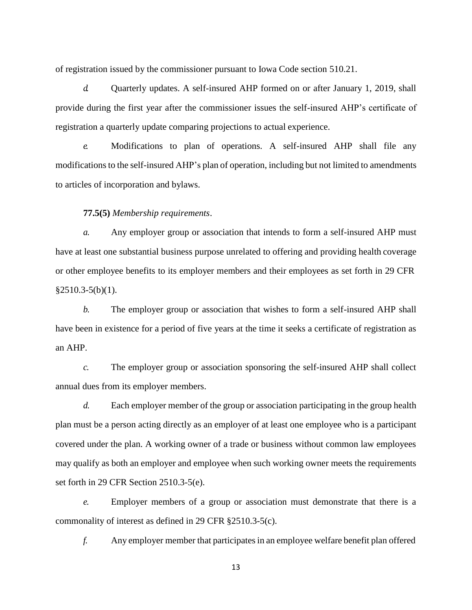of registration issued by the commissioner pursuant to Iowa Code section [510.21.](https://www.legis.iowa.gov/docs/ico/section/2018/510.21.pdf)

*d.* Quarterly updates. A self-insured AHP formed on or after January 1, 2019, shall provide during the first year after the commissioner issues the self-insured AHP's certificate of registration a quarterly update comparing projections to actual experience.

*e.* Modifications to plan of operations. A self-insured AHP shall file any modifications to the self-insured AHP's plan of operation, including but not limited to amendments to articles of incorporation and bylaws.

#### **77.5(5)** *Membership requirements*.

*a.* Any employer group or association that intends to form a self-insured AHP must have at least one substantial business purpose unrelated to offering and providing health coverage or other employee benefits to its employer members and their employees as set forth in 29 CFR  $§2510.3-5(b)(1).$ 

*b.* The employer group or association that wishes to form a self-insured AHP shall have been in existence for a period of five years at the time it seeks a certificate of registration as an AHP.

*c.* The employer group or association sponsoring the self-insured AHP shall collect annual dues from its employer members.

*d.* Each employer member of the group or association participating in the group health plan must be a person acting directly as an employer of at least one employee who is a participant covered under the plan. A working owner of a trade or business without common law employees may qualify as both an employer and employee when such working owner meets the requirements set forth in 29 CFR Section 2510.3-5(e).

*e.* Employer members of a group or association must demonstrate that there is a commonality of interest as defined in 29 CFR §2510.3-5(c).

*f.* Any employer member that participatesin an employee welfare benefit plan offered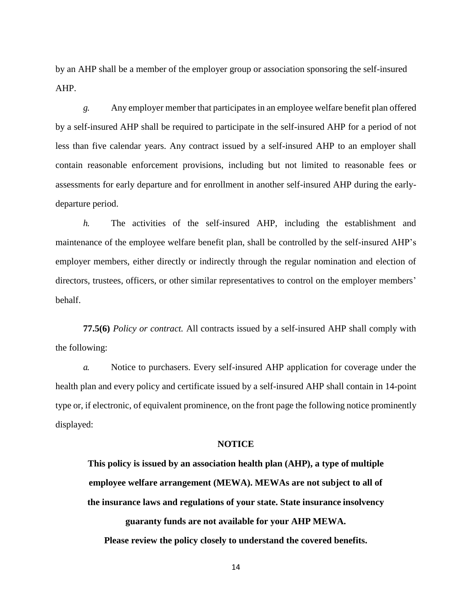by an AHP shall be a member of the employer group or association sponsoring the self-insured AHP.

*g.* Any employer member that participates in an employee welfare benefit plan offered by a self-insured AHP shall be required to participate in the self-insured AHP for a period of not less than five calendar years. Any contract issued by a self-insured AHP to an employer shall contain reasonable enforcement provisions, including but not limited to reasonable fees or assessments for early departure and for enrollment in another self-insured AHP during the earlydeparture period.

*h.* The activities of the self-insured AHP, including the establishment and maintenance of the employee welfare benefit plan, shall be controlled by the self-insured AHP's employer members, either directly or indirectly through the regular nomination and election of directors, trustees, officers, or other similar representatives to control on the employer members' behalf.

**77.5(6)** *Policy or contract.* All contracts issued by a self-insured AHP shall comply with the following:

*a.* Notice to purchasers. Every self-insured AHP application for coverage under the health plan and every policy and certificate issued by a self-insured AHP shall contain in 14-point type or, if electronic, of equivalent prominence, on the front page the following notice prominently displayed:

#### **NOTICE**

**This policy is issued by an association health plan (AHP), a type of multiple employee welfare arrangement (MEWA). MEWAs are not subject to all of the insurance laws and regulations of your state. State insurance insolvency guaranty funds are not available for your AHP MEWA. Please review the policy closely to understand the covered benefits.**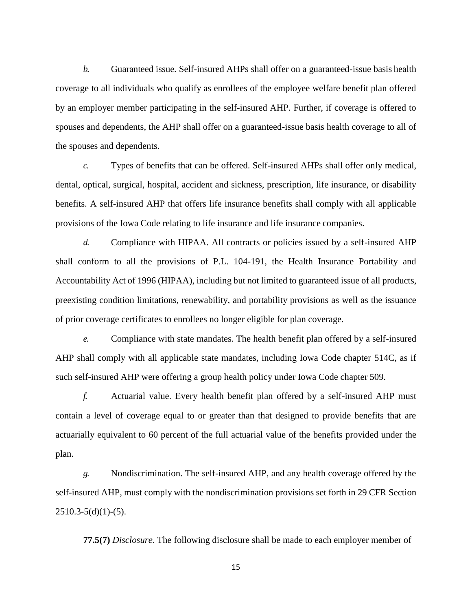*b.* Guaranteed issue*.* Self-insured AHPs shall offer on a guaranteed-issue basis health coverage to all individuals who qualify as enrollees of the employee welfare benefit plan offered by an employer member participating in the self-insured AHP. Further, if coverage is offered to spouses and dependents, the AHP shall offer on a guaranteed-issue basis health coverage to all of the spouses and dependents.

*c.* Types of benefits that can be offered. Self-insured AHPs shall offer only medical, dental, optical, surgical, hospital, accident and sickness, prescription, life insurance, or disability benefits. A self-insured AHP that offers life insurance benefits shall comply with all applicable provisions of the Iowa Code relating to life insurance and life insurance companies.

*d.* Compliance with HIPAA. All contracts or policies issued by a self-insured AHP shall conform to all the provisions of P.L. 104-191, the Health Insurance Portability and Accountability Act of 1996 (HIPAA), including but not limited to guaranteed issue of all products, preexisting condition limitations, renewability, and portability provisions as well as the issuance of prior coverage certificates to enrollees no longer eligible for plan coverage.

*e.* Compliance with state mandates. The health benefit plan offered by a self-insured AHP shall comply with all applicable state mandates, including Iowa Code chapter [514C,](https://www.legis.iowa.gov/docs/ico/chapter/2018/514C.pdf) as if such self-insured AHP were offering a group health policy under Iowa Code chapter 509.

*f.* Actuarial value. Every health benefit plan offered by a self-insured AHP must contain a level of coverage equal to or greater than that designed to provide benefits that are actuarially equivalent to 60 percent of the full actuarial value of the benefits provided under the plan.

*g.* Nondiscrimination. The self-insured AHP, and any health coverage offered by the self-insured AHP, must comply with the nondiscrimination provisions set forth in 29 CFR Section  $2510.3-5(d)(1)-(5)$ .

**77.5(7)** *Disclosure.* The following disclosure shall be made to each employer member of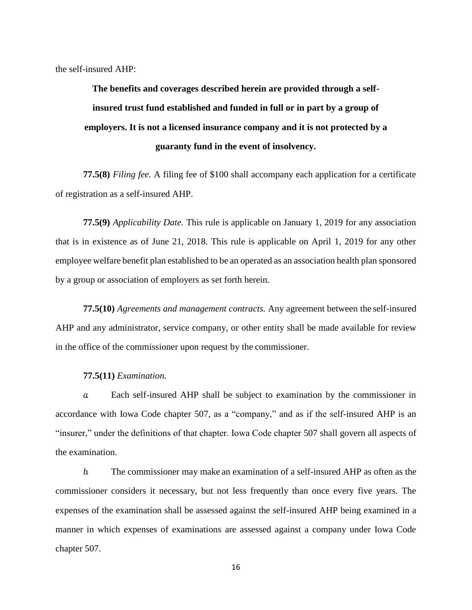the self-insured AHP:

**The benefits and coverages described herein are provided through a selfinsured trust fund established and funded in full or in part by a group of employers. It is not a licensed insurance company and it is not protected by a guaranty fund in the event of insolvency.**

**77.5(8)** *Filing fee.* A filing fee of \$100 shall accompany each application for a certificate of registration as a self-insured AHP.

**77.5(9)** *Applicability Date.* This rule is applicable on January 1, 2019 for any association that is in existence as of June 21, 2018. This rule is applicable on April 1, 2019 for any other employee welfare benefit plan established to be an operated as an association health plan sponsored by a group or association of employers as set forth herein.

**77.5(10)** *Agreements and management contracts.* Any agreement between the self-insured AHP and any administrator, service company, or other entity shall be made available for review in the office of the commissioner upon request by the commissioner.

#### **77.5(11)** *Examination.*

*a.* Each self-insured AHP shall be subject to examination by the commissioner in accordance with Iowa Code chapter [507, a](https://www.legis.iowa.gov/docs/ico/chapter/2018/507.pdf)s a "company," and as if the self-insured AHP is an "insurer," under the definitions of that chapter. Iowa Code chapter [507 s](https://www.legis.iowa.gov/docs/ico/chapter/2018/507.pdf)hall govern all aspects of the examination.

*b.* The commissioner may make an examination of a self-insured AHP as often as the commissioner considers it necessary, but not less frequently than once every five years. The expenses of the examination shall be assessed against the self-insured AHP being examined in a manner in which expenses of examinations are assessed against a company under Iowa Code chapter [507.](https://www.legis.iowa.gov/docs/ico/chapter/2018/507.pdf)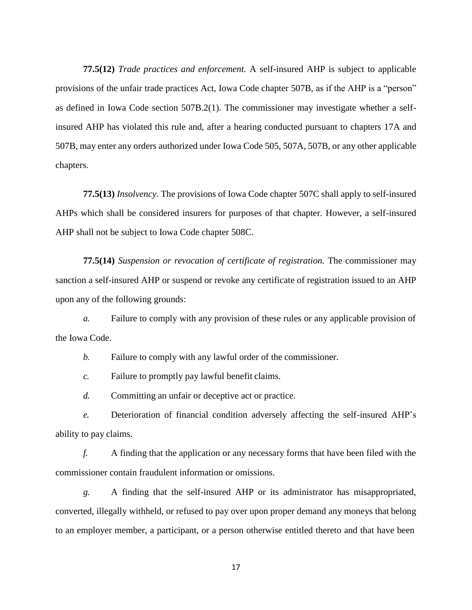**77.5(12)** *Trade practices and enforcement.* A self-insured AHP is subject to applicable provisions of the unfair trade practices Act, Iowa Code chapter [507B, a](https://www.legis.iowa.gov/docs/ico/chapter/2018/507B.pdf)s if the AHP is a "person" as defined in Iowa Code section 507B.2(1). The commissioner may investigate whether a selfinsured AHP has violated this rule and, after a hearing conducted pursuant to chapters 17A and 507B, may enter any orders authorized under Iowa Code 505, 507A, 507B, or any other applicable chapters.

**77.5(13)** *Insolvency.* The provisions of Iowa Code chapter [507C](https://www.legis.iowa.gov/docs/ico/chapter/2018/507C.pdf) shall apply to self-insured AHPs which shall be considered insurers for purposes of that chapter. However, a self-insured AHP shall not be subject to Iowa Code chapter [508C.](https://www.legis.iowa.gov/docs/ico/chapter/2018/508C.pdf)

**77.5(14)** *Suspension or revocation of certificate of registration.* The commissioner may sanction a self-insured AHP or suspend or revoke any certificate of registration issued to an AHP upon any of the following grounds:

*a.* Failure to comply with any provision of these rules or any applicable provision of the Iowa Code.

*b.* Failure to comply with any lawful order of the commissioner.

*c.* Failure to promptly pay lawful benefit claims.

*d.* Committing an unfair or deceptive act or practice.

*e.* Deterioration of financial condition adversely affecting the self-insured AHP's ability to pay claims.

*f.* A finding that the application or any necessary forms that have been filed with the commissioner contain fraudulent information or omissions.

*g.* A finding that the self-insured AHP or its administrator has misappropriated, converted, illegally withheld, or refused to pay over upon proper demand any moneys that belong to an employer member, a participant, or a person otherwise entitled thereto and that have been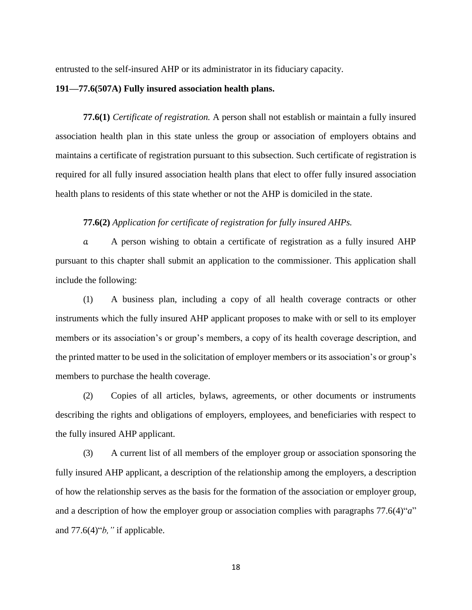entrusted to the self-insured AHP or its administrator in its fiduciary capacity.

# **191—77.6(507A) Fully insured association health plans.**

**77.6(1)** *Certificate of registration.* A person shall not establish or maintain a fully insured association health plan in this state unless the group or association of employers obtains and maintains a certificate of registration pursuant to this subsection. Such certificate of registration is required for all fully insured association health plans that elect to offer fully insured association health plans to residents of this state whether or not the AHP is domiciled in the state.

## **77.6(2)** *Application for certificate of registration for fully insured AHPs.*

*a.* A person wishing to obtain a certificate of registration as a fully insured AHP pursuant to this chapter shall submit an application to the commissioner. This application shall include the following:

(1) A business plan, including a copy of all health coverage contracts or other instruments which the fully insured AHP applicant proposes to make with or sell to its employer members or its association's or group's members, a copy of its health coverage description, and the printed matter to be used in the solicitation of employer members or its association's or group's members to purchase the health coverage.

(2) Copies of all articles, bylaws, agreements, or other documents or instruments describing the rights and obligations of employers, employees, and beneficiaries with respect to the fully insured AHP applicant.

(3) A current list of all members of the employer group or association sponsoring the fully insured AHP applicant, a description of the relationship among the employers, a description of how the relationship serves as the basis for the formation of the association or employer group, and a description of how the employer group or association complies with [paragraphs 77.6\(4\)"](https://www.legis.iowa.gov/docs/iac/rule/191.77.7.pdf)*a*" and [77.6\(4\)"](https://www.legis.iowa.gov/docs/iac/rule/191.77.7.pdf)*b,"* if applicable.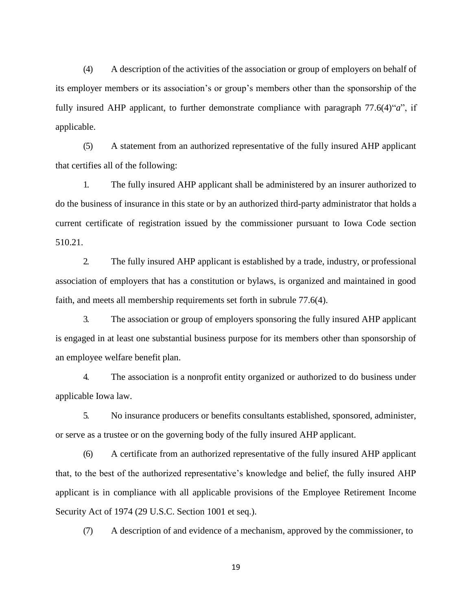(4) A description of the activities of the association or group of employers on behalf of its employer members or its association's or group's members other than the sponsorship of the fully insured AHP applicant, to further demonstrate compliance with [paragraph 77.6\(4\)"](https://www.legis.iowa.gov/docs/iac/rule/191.77.7.pdf)*a*", if applicable.

(5) A statement from an authorized representative of the fully insured AHP applicant that certifies all of the following:

1. The fully insured AHP applicant shall be administered by an insurer authorized to do the business of insurance in this state or by an authorized third-party administrator that holds a current certificate of registration issued by the commissioner pursuant to Iowa Code section [510.21.](https://www.legis.iowa.gov/docs/ico/section/2018/510.21.pdf)

2. The fully insured AHP applicant is established by a trade, industry, or professional association of employers that has a constitution or bylaws, is organized and maintained in good faith, and meets all membership requirements set forth in subrule [77.6\(4\).](https://www.legis.iowa.gov/docs/iac/rule/191.77.7.pdf)

3. The association or group of employers sponsoring the fully insured AHP applicant is engaged in at least one substantial business purpose for its members other than sponsorship of an employee welfare benefit plan.

4. The association is a nonprofit entity organized or authorized to do business under applicable Iowa law.

5. No insurance producers or benefits consultants established, sponsored, administer, or serve as a trustee or on the governing body of the fully insured AHP applicant.

(6) A certificate from an authorized representative of the fully insured AHP applicant that, to the best of the authorized representative's knowledge and belief, the fully insured AHP applicant is in compliance with all applicable provisions of the Employee Retirement Income Security Act of 1974 (29 U.S.C. Section 1001 et seq.).

(7) A description of and evidence of a mechanism, approved by the commissioner, to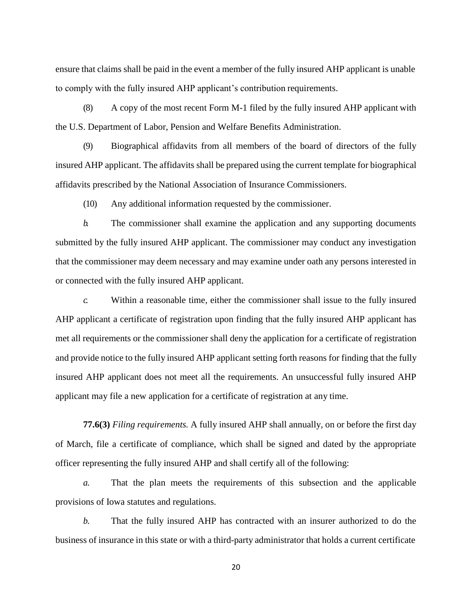ensure that claims shall be paid in the event a member of the fully insured AHP applicant is unable to comply with the fully insured AHP applicant's contribution requirements.

(8) A copy of the most recent Form M-1 filed by the fully insured AHP applicant with the U.S. Department of Labor, Pension and Welfare Benefits Administration.

(9) Biographical affidavits from all members of the board of directors of the fully insured AHP applicant. The affidavits shall be prepared using the current template for biographical affidavits prescribed by the National Association of Insurance Commissioners.

(10) Any additional information requested by the commissioner.

*b.* The commissioner shall examine the application and any supporting documents submitted by the fully insured AHP applicant. The commissioner may conduct any investigation that the commissioner may deem necessary and may examine under oath any persons interested in or connected with the fully insured AHP applicant.

*c.* Within a reasonable time, either the commissioner shall issue to the fully insured AHP applicant a certificate of registration upon finding that the fully insured AHP applicant has met all requirements or the commissioner shall deny the application for a certificate of registration and provide notice to the fully insured AHP applicant setting forth reasons for finding that the fully insured AHP applicant does not meet all the requirements. An unsuccessful fully insured AHP applicant may file a new application for a certificate of registration at any time.

**77.6(3)** *Filing requirements.* A fully insured AHP shall annually, on or before the first day of March, file a certificate of compliance, which shall be signed and dated by the appropriate officer representing the fully insured AHP and shall certify all of the following:

*a.* That the plan meets the requirements of this subsection and the applicable provisions of Iowa statutes and regulations.

*b.* That the fully insured AHP has contracted with an insurer authorized to do the business of insurance in this state or with a third-party administrator that holds a current certificate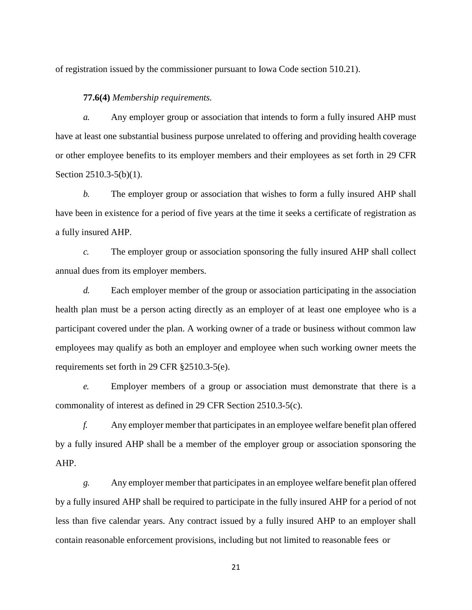of registration issued by the commissioner pursuant to Iowa Code section [510.21\)](https://www.legis.iowa.gov/docs/ico/section/2018/510.21.pdf).

**77.6(4)** *Membership requirements.*

*a.* Any employer group or association that intends to form a fully insured AHP must have at least one substantial business purpose unrelated to offering and providing health coverage or other employee benefits to its employer members and their employees as set forth in 29 CFR Section 2510.3-5(b)(1).

*b.* The employer group or association that wishes to form a fully insured AHP shall have been in existence for a period of five years at the time it seeks a certificate of registration as a fully insured AHP.

*c.* The employer group or association sponsoring the fully insured AHP shall collect annual dues from its employer members.

*d.* Each employer member of the group or association participating in the association health plan must be a person acting directly as an employer of at least one employee who is a participant covered under the plan. A working owner of a trade or business without common law employees may qualify as both an employer and employee when such working owner meets the requirements set forth in 29 CFR §2510.3-5(e).

*e.* Employer members of a group or association must demonstrate that there is a commonality of interest as defined in 29 CFR Section 2510.3-5(c).

*f.* Any employer member that participates in an employee welfare benefit plan offered by a fully insured AHP shall be a member of the employer group or association sponsoring the AHP.

*g.* Any employer member that participatesin an employee welfare benefit plan offered by a fully insured AHP shall be required to participate in the fully insured AHP for a period of not less than five calendar years. Any contract issued by a fully insured AHP to an employer shall contain reasonable enforcement provisions, including but not limited to reasonable fees or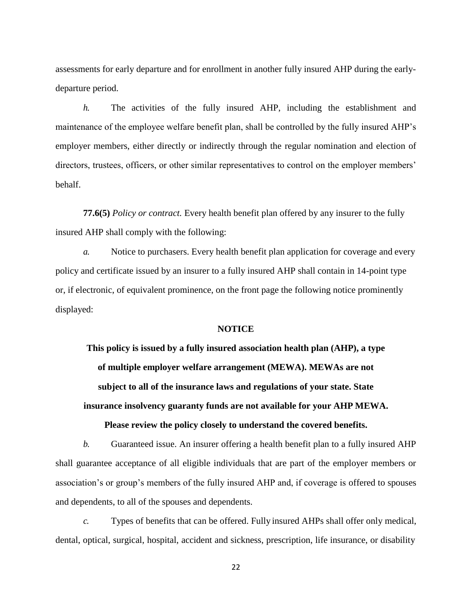assessments for early departure and for enrollment in another fully insured AHP during the earlydeparture period.

*h.* The activities of the fully insured AHP, including the establishment and maintenance of the employee welfare benefit plan, shall be controlled by the fully insured AHP's employer members, either directly or indirectly through the regular nomination and election of directors, trustees, officers, or other similar representatives to control on the employer members' behalf.

**77.6(5)** *Policy or contract.* Every health benefit plan offered by any insurer to the fully insured AHP shall comply with the following:

*a.* Notice to purchasers. Every health benefit plan application for coverage and every policy and certificate issued by an insurer to a fully insured AHP shall contain in 14-point type or, if electronic, of equivalent prominence, on the front page the following notice prominently displayed:

### **NOTICE**

**This policy is issued by a fully insured association health plan (AHP), a type of multiple employer welfare arrangement (MEWA). MEWAs are not subject to all of the insurance laws and regulations of your state. State insurance insolvency guaranty funds are not available for your AHP MEWA.** 

**Please review the policy closely to understand the covered benefits.**

*b.* Guaranteed issue. An insurer offering a health benefit plan to a fully insured AHP shall guarantee acceptance of all eligible individuals that are part of the employer members or association's or group's members of the fully insured AHP and, if coverage is offered to spouses and dependents, to all of the spouses and dependents.

*c.* Types of benefits that can be offered. Fully insured AHPs shall offer only medical, dental, optical, surgical, hospital, accident and sickness, prescription, life insurance, or disability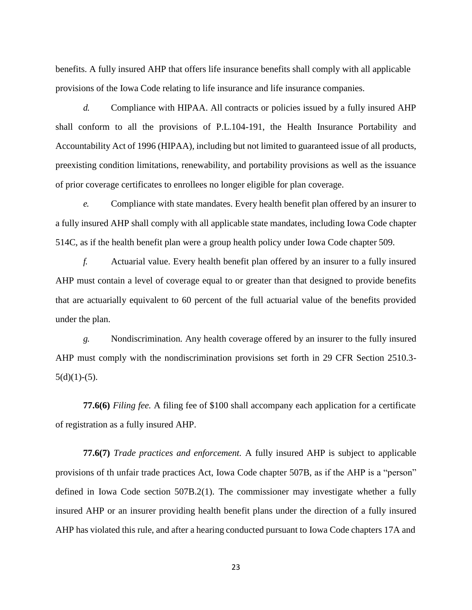benefits. A fully insured AHP that offers life insurance benefits shall comply with all applicable provisions of the Iowa Code relating to life insurance and life insurance companies.

*d.* Compliance with HIPAA. All contracts or policies issued by a fully insured AHP shall conform to all the provisions of P.L.104-191, the Health Insurance Portability and Accountability Act of 1996 (HIPAA), including but not limited to guaranteed issue of all products, preexisting condition limitations, renewability, and portability provisions as well as the issuance of prior coverage certificates to enrollees no longer eligible for plan coverage.

*e.* Compliance with state mandates. Every health benefit plan offered by an insurer to a fully insured AHP shall comply with all applicable state mandates, including Iowa Code chapter 514C, as if the health benefit plan were a group health policy under Iowa Code chapter 509.

*f.* Actuarial value. Every health benefit plan offered by an insurer to a fully insured AHP must contain a level of coverage equal to or greater than that designed to provide benefits that are actuarially equivalent to 60 percent of the full actuarial value of the benefits provided under the plan.

*g.* Nondiscrimination*.* Any health coverage offered by an insurer to the fully insured AHP must comply with the nondiscrimination provisions set forth in 29 CFR Section 2510.3-  $5(d)(1)-(5)$ .

**77.6(6)** *Filing fee.* A filing fee of \$100 shall accompany each application for a certificate of registration as a fully insured AHP.

**77.6(7)** *Trade practices and enforcement.* A fully insured AHP is subject to applicable provisions of th unfair trade practices Act, Iowa Code chapter [507B, a](https://www.legis.iowa.gov/docs/ico/chapter/2018/507B.pdf)s if the AHP is a "person" defined in Iowa Code section 507B.2(1). The commissioner may investigate whether a fully insured AHP or an insurer providing health benefit plans under the direction of a fully insured AHP has violated this rule, and after a hearing conducted pursuant to Iowa Code chapters 17A and